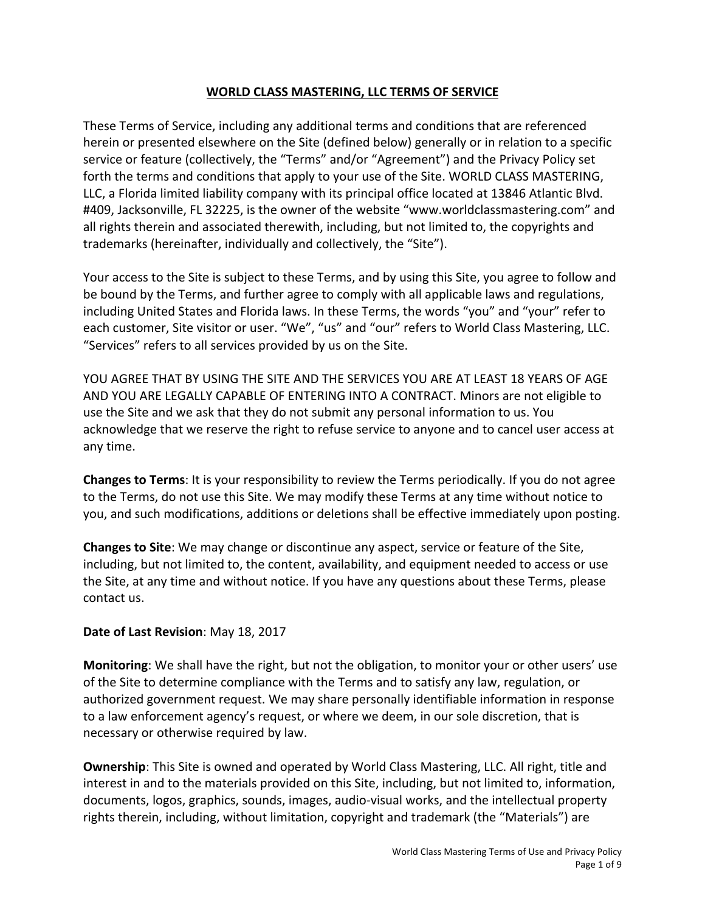# **WORLD CLASS MASTERING, LLC TERMS OF SERVICE**

These Terms of Service, including any additional terms and conditions that are referenced herein or presented elsewhere on the Site (defined below) generally or in relation to a specific service or feature (collectively, the "Terms" and/or "Agreement") and the Privacy Policy set forth the terms and conditions that apply to your use of the Site. WORLD CLASS MASTERING, LLC, a Florida limited liability company with its principal office located at 13846 Atlantic Blvd. #409, Jacksonville, FL 32225, is the owner of the website "www.worldclassmastering.com" and all rights therein and associated therewith, including, but not limited to, the copyrights and trademarks (hereinafter, individually and collectively, the "Site").

Your access to the Site is subject to these Terms, and by using this Site, you agree to follow and be bound by the Terms, and further agree to comply with all applicable laws and regulations, including United States and Florida laws. In these Terms, the words "you" and "your" refer to each customer, Site visitor or user. "We", "us" and "our" refers to World Class Mastering, LLC. "Services" refers to all services provided by us on the Site.

YOU AGREE THAT BY USING THE SITE AND THE SERVICES YOU ARE AT LEAST 18 YEARS OF AGE AND YOU ARE LEGALLY CAPABLE OF ENTERING INTO A CONTRACT. Minors are not eligible to use the Site and we ask that they do not submit any personal information to us. You acknowledge that we reserve the right to refuse service to anyone and to cancel user access at any time.

Changes to Terms: It is your responsibility to review the Terms periodically. If you do not agree to the Terms, do not use this Site. We may modify these Terms at any time without notice to you, and such modifications, additions or deletions shall be effective immediately upon posting.

**Changes to Site**: We may change or discontinue any aspect, service or feature of the Site, including, but not limited to, the content, availability, and equipment needed to access or use the Site, at any time and without notice. If you have any questions about these Terms, please contact us.

# **Date of Last Revision:** May 18, 2017

**Monitoring**: We shall have the right, but not the obligation, to monitor your or other users' use of the Site to determine compliance with the Terms and to satisfy any law, regulation, or authorized government request. We may share personally identifiable information in response to a law enforcement agency's request, or where we deem, in our sole discretion, that is necessary or otherwise required by law.

**Ownership:** This Site is owned and operated by World Class Mastering, LLC. All right, title and interest in and to the materials provided on this Site, including, but not limited to, information, documents, logos, graphics, sounds, images, audio-visual works, and the intellectual property rights therein, including, without limitation, copyright and trademark (the "Materials") are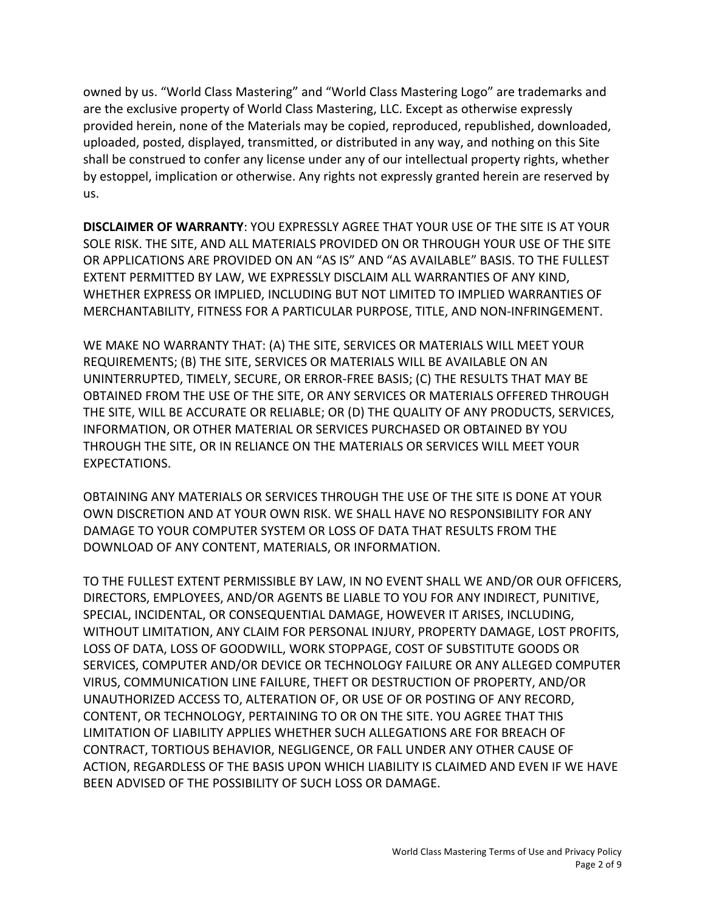owned by us. "World Class Mastering" and "World Class Mastering Logo" are trademarks and are the exclusive property of World Class Mastering, LLC. Except as otherwise expressly provided herein, none of the Materials may be copied, reproduced, republished, downloaded, uploaded, posted, displayed, transmitted, or distributed in any way, and nothing on this Site shall be construed to confer any license under any of our intellectual property rights, whether by estoppel, implication or otherwise. Any rights not expressly granted herein are reserved by us.

**DISCLAIMER OF WARRANTY: YOU EXPRESSLY AGREE THAT YOUR USE OF THE SITE IS AT YOUR** SOLE RISK. THE SITE, AND ALL MATERIALS PROVIDED ON OR THROUGH YOUR USE OF THE SITE OR APPLICATIONS ARE PROVIDED ON AN "AS IS" AND "AS AVAILABLE" BASIS. TO THE FULLEST EXTENT PERMITTED BY LAW, WE EXPRESSLY DISCLAIM ALL WARRANTIES OF ANY KIND, WHETHER EXPRESS OR IMPLIED, INCLUDING BUT NOT LIMITED TO IMPLIED WARRANTIES OF MERCHANTABILITY, FITNESS FOR A PARTICULAR PURPOSE, TITLE, AND NON-INFRINGEMENT.

WE MAKE NO WARRANTY THAT: (A) THE SITE, SERVICES OR MATERIALS WILL MEET YOUR REQUIREMENTS; (B) THE SITE, SERVICES OR MATERIALS WILL BE AVAILABLE ON AN UNINTERRUPTED, TIMELY, SECURE, OR ERROR-FREE BASIS; (C) THE RESULTS THAT MAY BE OBTAINED FROM THE USE OF THE SITE, OR ANY SERVICES OR MATERIALS OFFERED THROUGH THE SITE, WILL BE ACCURATE OR RELIABLE; OR (D) THE QUALITY OF ANY PRODUCTS, SERVICES, INFORMATION, OR OTHER MATERIAL OR SERVICES PURCHASED OR OBTAINED BY YOU THROUGH THE SITE, OR IN RELIANCE ON THE MATERIALS OR SERVICES WILL MEET YOUR EXPECTATIONS.

OBTAINING ANY MATERIALS OR SERVICES THROUGH THE USE OF THE SITE IS DONE AT YOUR OWN DISCRETION AND AT YOUR OWN RISK. WE SHALL HAVE NO RESPONSIBILITY FOR ANY DAMAGE TO YOUR COMPUTER SYSTEM OR LOSS OF DATA THAT RESULTS FROM THE DOWNLOAD OF ANY CONTENT, MATERIALS, OR INFORMATION.

TO THE FULLEST EXTENT PERMISSIBLE BY LAW, IN NO EVENT SHALL WE AND/OR OUR OFFICERS, DIRECTORS, EMPLOYEES, AND/OR AGENTS BE LIABLE TO YOU FOR ANY INDIRECT, PUNITIVE, SPECIAL, INCIDENTAL, OR CONSEQUENTIAL DAMAGE, HOWEVER IT ARISES, INCLUDING, WITHOUT LIMITATION, ANY CLAIM FOR PERSONAL INJURY, PROPERTY DAMAGE, LOST PROFITS, LOSS OF DATA, LOSS OF GOODWILL, WORK STOPPAGE, COST OF SUBSTITUTE GOODS OR SERVICES, COMPUTER AND/OR DEVICE OR TECHNOLOGY FAILURE OR ANY ALLEGED COMPUTER VIRUS, COMMUNICATION LINE FAILURE, THEFT OR DESTRUCTION OF PROPERTY, AND/OR UNAUTHORIZED ACCESS TO, ALTERATION OF, OR USE OF OR POSTING OF ANY RECORD, CONTENT, OR TECHNOLOGY, PERTAINING TO OR ON THE SITE. YOU AGREE THAT THIS LIMITATION OF LIABILITY APPLIES WHETHER SUCH ALLEGATIONS ARE FOR BREACH OF CONTRACT, TORTIOUS BEHAVIOR, NEGLIGENCE, OR FALL UNDER ANY OTHER CAUSE OF ACTION, REGARDLESS OF THE BASIS UPON WHICH LIABILITY IS CLAIMED AND EVEN IF WE HAVE BEEN ADVISED OF THE POSSIBILITY OF SUCH LOSS OR DAMAGE.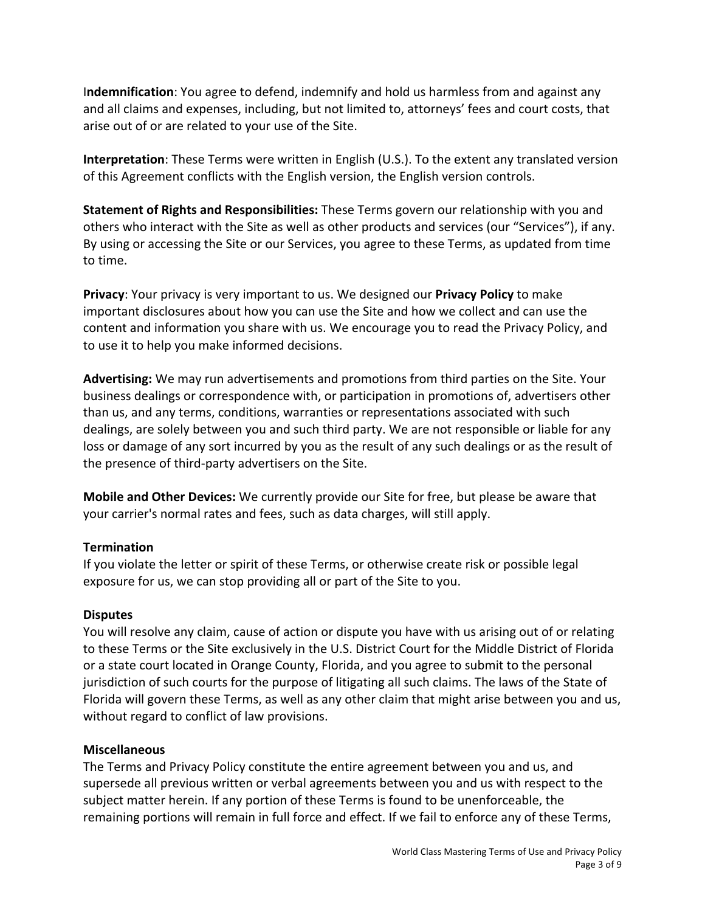**Indemnification**: You agree to defend, indemnify and hold us harmless from and against any and all claims and expenses, including, but not limited to, attorneys' fees and court costs, that arise out of or are related to your use of the Site.

**Interpretation**: These Terms were written in English (U.S.). To the extent any translated version of this Agreement conflicts with the English version, the English version controls.

**Statement of Rights and Responsibilities:** These Terms govern our relationship with you and others who interact with the Site as well as other products and services (our "Services"), if any. By using or accessing the Site or our Services, you agree to these Terms, as updated from time to time.

**Privacy:** Your privacy is very important to us. We designed our **Privacy Policy** to make important disclosures about how you can use the Site and how we collect and can use the content and information you share with us. We encourage you to read the Privacy Policy, and to use it to help you make informed decisions.

**Advertising:** We may run advertisements and promotions from third parties on the Site. Your business dealings or correspondence with, or participation in promotions of, advertisers other than us, and any terms, conditions, warranties or representations associated with such dealings, are solely between you and such third party. We are not responsible or liable for any loss or damage of any sort incurred by you as the result of any such dealings or as the result of the presence of third-party advertisers on the Site.

**Mobile and Other Devices:** We currently provide our Site for free, but please be aware that your carrier's normal rates and fees, such as data charges, will still apply.

# **Termination**

If you violate the letter or spirit of these Terms, or otherwise create risk or possible legal exposure for us, we can stop providing all or part of the Site to you.

# **Disputes**

You will resolve any claim, cause of action or dispute you have with us arising out of or relating to these Terms or the Site exclusively in the U.S. District Court for the Middle District of Florida or a state court located in Orange County, Florida, and you agree to submit to the personal jurisdiction of such courts for the purpose of litigating all such claims. The laws of the State of Florida will govern these Terms, as well as any other claim that might arise between you and us, without regard to conflict of law provisions.

# **Miscellaneous**

The Terms and Privacy Policy constitute the entire agreement between you and us, and supersede all previous written or verbal agreements between you and us with respect to the subject matter herein. If any portion of these Terms is found to be unenforceable, the remaining portions will remain in full force and effect. If we fail to enforce any of these Terms,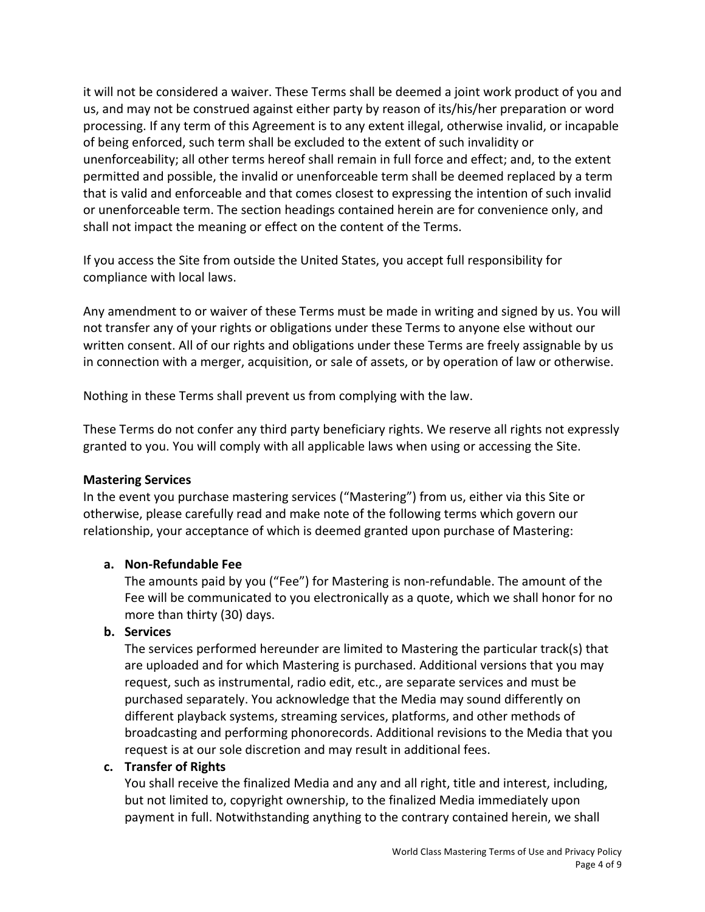it will not be considered a waiver. These Terms shall be deemed a joint work product of you and us, and may not be construed against either party by reason of its/his/her preparation or word processing. If any term of this Agreement is to any extent illegal, otherwise invalid, or incapable of being enforced, such term shall be excluded to the extent of such invalidity or unenforceability; all other terms hereof shall remain in full force and effect; and, to the extent permitted and possible, the invalid or unenforceable term shall be deemed replaced by a term that is valid and enforceable and that comes closest to expressing the intention of such invalid or unenforceable term. The section headings contained herein are for convenience only, and shall not impact the meaning or effect on the content of the Terms.

If you access the Site from outside the United States, you accept full responsibility for compliance with local laws.

Any amendment to or waiver of these Terms must be made in writing and signed by us. You will not transfer any of your rights or obligations under these Terms to anyone else without our written consent. All of our rights and obligations under these Terms are freely assignable by us in connection with a merger, acquisition, or sale of assets, or by operation of law or otherwise.

Nothing in these Terms shall prevent us from complying with the law.

These Terms do not confer any third party beneficiary rights. We reserve all rights not expressly granted to you. You will comply with all applicable laws when using or accessing the Site.

### **Mastering Services**

In the event you purchase mastering services ("Mastering") from us, either via this Site or otherwise, please carefully read and make note of the following terms which govern our relationship, your acceptance of which is deemed granted upon purchase of Mastering:

# **a. Non-Refundable Fee**

The amounts paid by you ("Fee") for Mastering is non-refundable. The amount of the Fee will be communicated to you electronically as a quote, which we shall honor for no more than thirty (30) days.

# **b. Services**

The services performed hereunder are limited to Mastering the particular track(s) that are uploaded and for which Mastering is purchased. Additional versions that you may request, such as instrumental, radio edit, etc., are separate services and must be purchased separately. You acknowledge that the Media may sound differently on different playback systems, streaming services, platforms, and other methods of broadcasting and performing phonorecords. Additional revisions to the Media that you request is at our sole discretion and may result in additional fees.

# **c. Transfer of Rights**

You shall receive the finalized Media and any and all right, title and interest, including, but not limited to, copyright ownership, to the finalized Media immediately upon payment in full. Notwithstanding anything to the contrary contained herein, we shall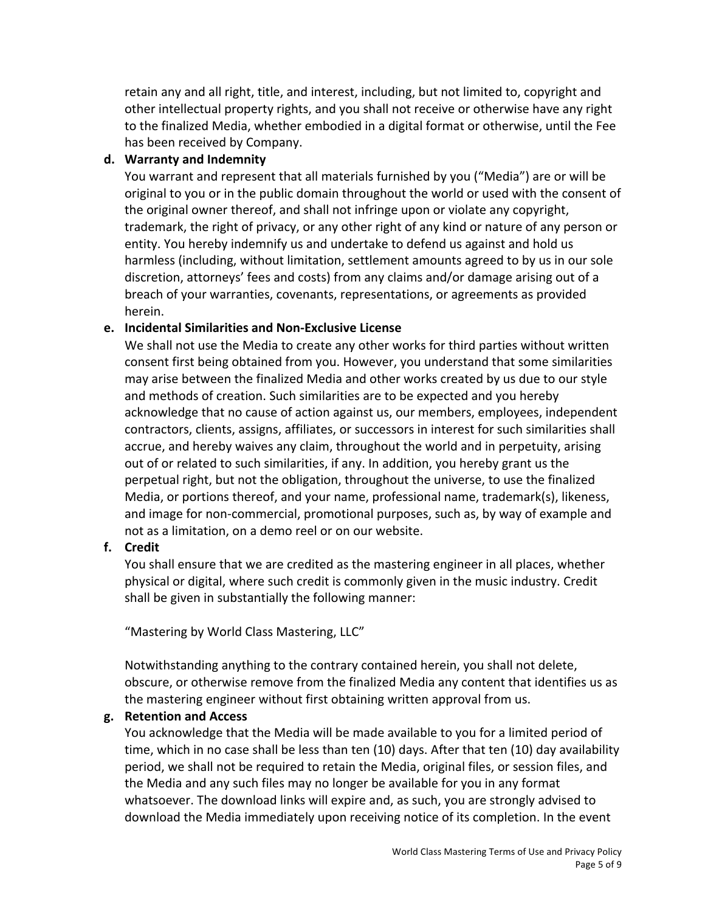retain any and all right, title, and interest, including, but not limited to, copyright and other intellectual property rights, and you shall not receive or otherwise have any right to the finalized Media, whether embodied in a digital format or otherwise, until the Fee has been received by Company.

# **d. Warranty and Indemnity**

You warrant and represent that all materials furnished by you ("Media") are or will be original to you or in the public domain throughout the world or used with the consent of the original owner thereof, and shall not infringe upon or violate any copyright, trademark, the right of privacy, or any other right of any kind or nature of any person or entity. You hereby indemnify us and undertake to defend us against and hold us harmless (including, without limitation, settlement amounts agreed to by us in our sole discretion, attorneys' fees and costs) from any claims and/or damage arising out of a breach of your warranties, covenants, representations, or agreements as provided herein.

# **e. Incidental Similarities and Non-Exclusive License**

We shall not use the Media to create any other works for third parties without written consent first being obtained from you. However, you understand that some similarities may arise between the finalized Media and other works created by us due to our style and methods of creation. Such similarities are to be expected and you hereby acknowledge that no cause of action against us, our members, employees, independent contractors, clients, assigns, affiliates, or successors in interest for such similarities shall accrue, and hereby waives any claim, throughout the world and in perpetuity, arising out of or related to such similarities, if any. In addition, you hereby grant us the perpetual right, but not the obligation, throughout the universe, to use the finalized Media, or portions thereof, and your name, professional name, trademark(s), likeness, and image for non-commercial, promotional purposes, such as, by way of example and not as a limitation, on a demo reel or on our website.

# **f. Credit**

You shall ensure that we are credited as the mastering engineer in all places, whether physical or digital, where such credit is commonly given in the music industry. Credit shall be given in substantially the following manner:

"Mastering by World Class Mastering, LLC"

Notwithstanding anything to the contrary contained herein, you shall not delete, obscure, or otherwise remove from the finalized Media any content that identifies us as the mastering engineer without first obtaining written approval from us.

# **g. Retention and Access**

You acknowledge that the Media will be made available to you for a limited period of time, which in no case shall be less than ten  $(10)$  days. After that ten  $(10)$  day availability period, we shall not be required to retain the Media, original files, or session files, and the Media and any such files may no longer be available for you in any format whatsoever. The download links will expire and, as such, you are strongly advised to download the Media immediately upon receiving notice of its completion. In the event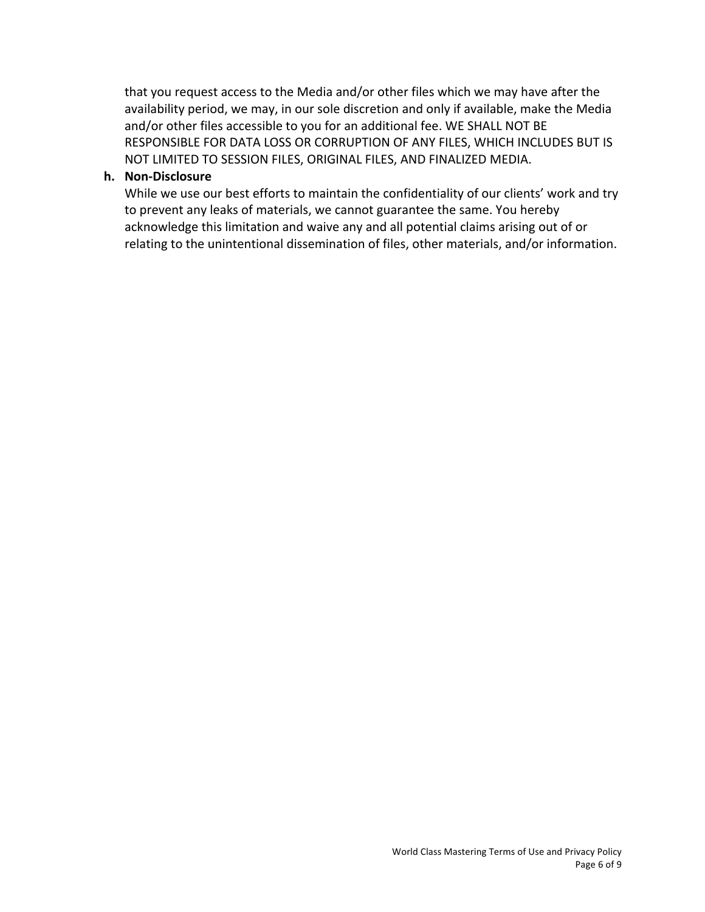that you request access to the Media and/or other files which we may have after the availability period, we may, in our sole discretion and only if available, make the Media and/or other files accessible to you for an additional fee. WE SHALL NOT BE RESPONSIBLE FOR DATA LOSS OR CORRUPTION OF ANY FILES, WHICH INCLUDES BUT IS NOT LIMITED TO SESSION FILES, ORIGINAL FILES, AND FINALIZED MEDIA.

#### **h. Non-Disclosure**

While we use our best efforts to maintain the confidentiality of our clients' work and try to prevent any leaks of materials, we cannot guarantee the same. You hereby acknowledge this limitation and waive any and all potential claims arising out of or relating to the unintentional dissemination of files, other materials, and/or information.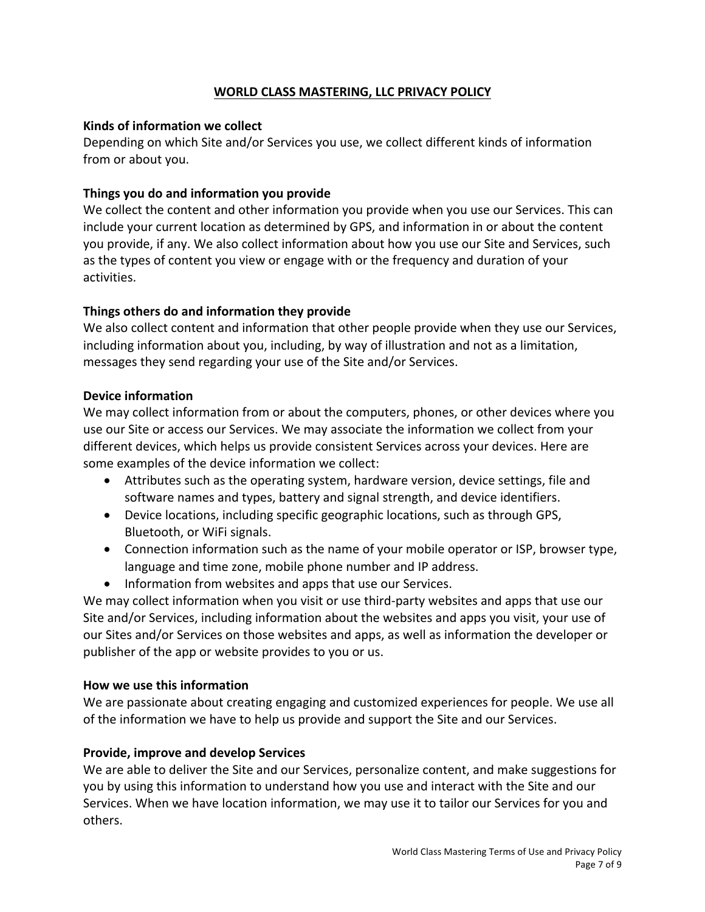# **WORLD CLASS MASTERING, LLC PRIVACY POLICY**

### **Kinds of information we collect**

Depending on which Site and/or Services you use, we collect different kinds of information from or about you.

# **Things you do and information you provide**

We collect the content and other information you provide when you use our Services. This can include your current location as determined by GPS, and information in or about the content you provide, if any. We also collect information about how you use our Site and Services, such as the types of content you view or engage with or the frequency and duration of your activities.

# **Things others do and information they provide**

We also collect content and information that other people provide when they use our Services, including information about you, including, by way of illustration and not as a limitation, messages they send regarding your use of the Site and/or Services.

# **Device information**

We may collect information from or about the computers, phones, or other devices where you use our Site or access our Services. We may associate the information we collect from your different devices, which helps us provide consistent Services across your devices. Here are some examples of the device information we collect:

- Attributes such as the operating system, hardware version, device settings, file and software names and types, battery and signal strength, and device identifiers.
- Device locations, including specific geographic locations, such as through GPS, Bluetooth, or WiFi signals.
- Connection information such as the name of your mobile operator or ISP, browser type, language and time zone, mobile phone number and IP address.
- Information from websites and apps that use our Services.

We may collect information when you visit or use third-party websites and apps that use our Site and/or Services, including information about the websites and apps you visit, your use of our Sites and/or Services on those websites and apps, as well as information the developer or publisher of the app or website provides to you or us.

### **How we use this information**

We are passionate about creating engaging and customized experiences for people. We use all of the information we have to help us provide and support the Site and our Services.

# **Provide, improve and develop Services**

We are able to deliver the Site and our Services, personalize content, and make suggestions for you by using this information to understand how you use and interact with the Site and our Services. When we have location information, we may use it to tailor our Services for you and others.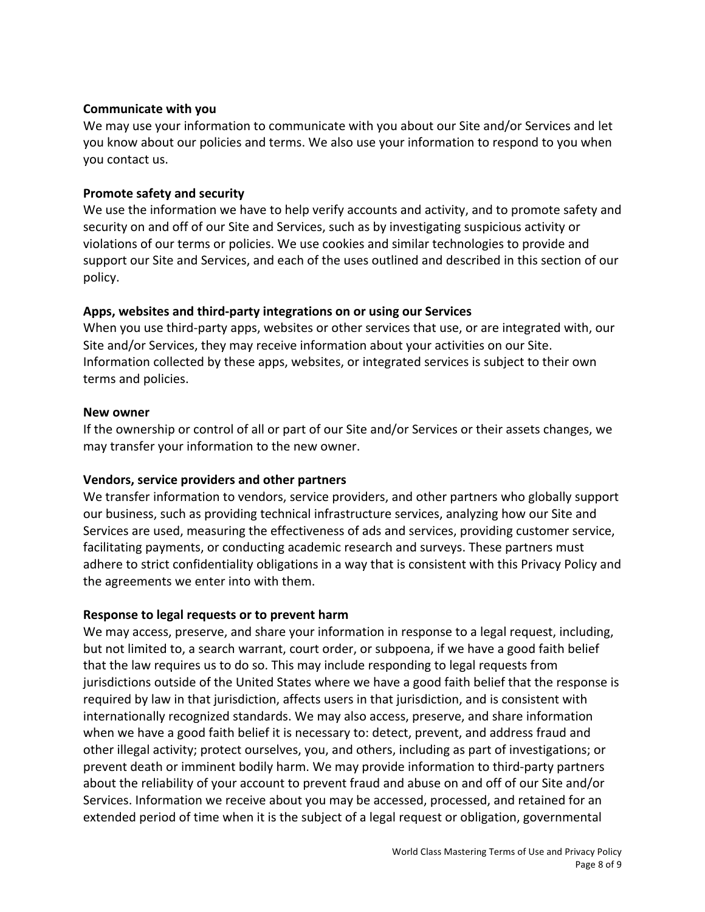### **Communicate with you**

We may use your information to communicate with you about our Site and/or Services and let you know about our policies and terms. We also use your information to respond to you when vou contact us.

### **Promote safety and security**

We use the information we have to help verify accounts and activity, and to promote safety and security on and off of our Site and Services, such as by investigating suspicious activity or violations of our terms or policies. We use cookies and similar technologies to provide and support our Site and Services, and each of the uses outlined and described in this section of our policy. 

### Apps, websites and third-party integrations on or using our Services

When you use third-party apps, websites or other services that use, or are integrated with, our Site and/or Services, they may receive information about your activities on our Site. Information collected by these apps, websites, or integrated services is subject to their own terms and policies.

### **New owner**

If the ownership or control of all or part of our Site and/or Services or their assets changes, we may transfer your information to the new owner.

### **Vendors, service providers and other partners**

We transfer information to vendors, service providers, and other partners who globally support our business, such as providing technical infrastructure services, analyzing how our Site and Services are used, measuring the effectiveness of ads and services, providing customer service, facilitating payments, or conducting academic research and surveys. These partners must adhere to strict confidentiality obligations in a way that is consistent with this Privacy Policy and the agreements we enter into with them.

# **Response to legal requests or to prevent harm**

We may access, preserve, and share your information in response to a legal request, including, but not limited to, a search warrant, court order, or subpoena, if we have a good faith belief that the law requires us to do so. This may include responding to legal requests from jurisdictions outside of the United States where we have a good faith belief that the response is required by law in that jurisdiction, affects users in that jurisdiction, and is consistent with internationally recognized standards. We may also access, preserve, and share information when we have a good faith belief it is necessary to: detect, prevent, and address fraud and other illegal activity; protect ourselves, you, and others, including as part of investigations; or prevent death or imminent bodily harm. We may provide information to third-party partners about the reliability of your account to prevent fraud and abuse on and off of our Site and/or Services. Information we receive about you may be accessed, processed, and retained for an extended period of time when it is the subject of a legal request or obligation, governmental